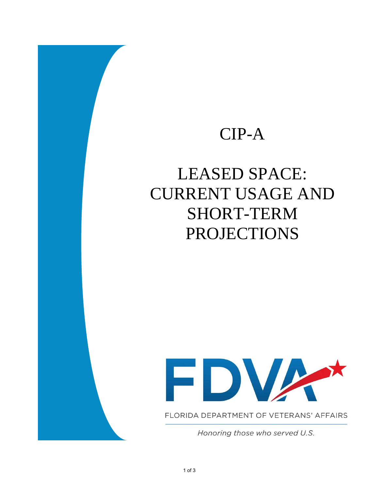## CIP-A

## LEASED SPACE: CURRENT USAGE AND SHORT-TERM PROJECTIONS



FLORIDA DEPARTMENT OF VETERANS' AFFAIRS

Honoring those who served U.S.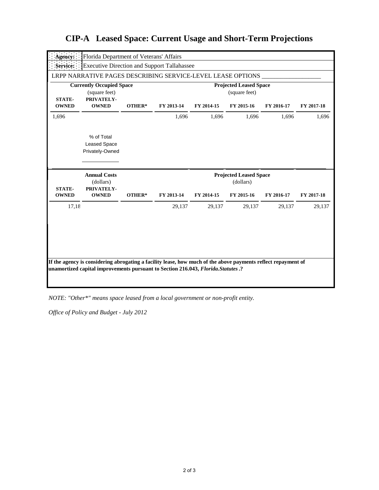| Agency:                                                                         | Florida Department of Veterans' Affairs                        |        |                                                |            |                                                          |            |            |  |
|---------------------------------------------------------------------------------|----------------------------------------------------------------|--------|------------------------------------------------|------------|----------------------------------------------------------|------------|------------|--|
| <b>Service:</b>                                                                 | <b>Executive Direction and Support Tallahassee</b>             |        |                                                |            |                                                          |            |            |  |
|                                                                                 | LRPP NARRATIVE PAGES DESCRIBING SERVICE-LEVEL LEASE OPTIONS    |        |                                                |            |                                                          |            |            |  |
| <b>Currently Occupied Space</b><br>(square feet)<br>PRIVATELY-<br><b>STATE-</b> |                                                                |        | <b>Projected Leased Space</b><br>(square feet) |            |                                                          |            |            |  |
| <b>OWNED</b>                                                                    | <b>OWNED</b>                                                   | OTHER* | FY 2013-14                                     | FY 2014-15 | FY 2015-16                                               | FY 2016-17 | FY 2017-18 |  |
| 1,696                                                                           |                                                                |        | 1,696                                          | 1,696      | 1,696                                                    | 1,696      | 1,696      |  |
|                                                                                 | % of Total<br><b>Leased Space</b><br>Privately-Owned           |        |                                                |            |                                                          |            |            |  |
|                                                                                 |                                                                |        |                                                |            |                                                          |            |            |  |
| <b>STATE-</b><br><b>OWNED</b>                                                   | <b>Annual Costs</b><br>(dollars)<br>PRIVATELY-<br><b>OWNED</b> | OTHER* | FY 2013-14                                     | FY 2014-15 | <b>Projected Leased Space</b><br>(dollars)<br>FY 2015-16 | FY 2016-17 | FY 2017-18 |  |
| 17,18                                                                           |                                                                |        | 29,137                                         | 29,137     | 29,137                                                   | 29,137     | 29,137     |  |

## **CIP-A Leased Space: Current Usage and Short-Term Projections**

*NOTE: "Other\*" means space leased from a local government or non-profit entity.*

*Office of Policy and Budget - July 2012*